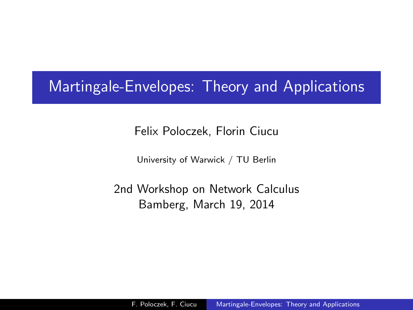## Martingale-Envelopes: Theory and Applications

Felix Poloczek, Florin Ciucu

<span id="page-0-0"></span>University of Warwick / TU Berlin

2nd Workshop on Network Calculus Bamberg, March 19, 2014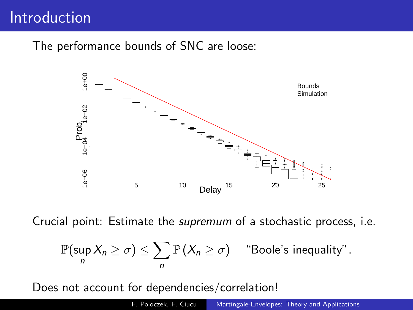## Introduction

The performance bounds of SNC are loose:



Crucial point: Estimate the supremum of a stochastic process, i.e.

$$
\mathbb{P}(\sup_n X_n \ge \sigma) \le \sum_n \mathbb{P}(X_n \ge \sigma) \quad \text{``Boole's inequality''}.
$$

Does not account for dependencies/correlation!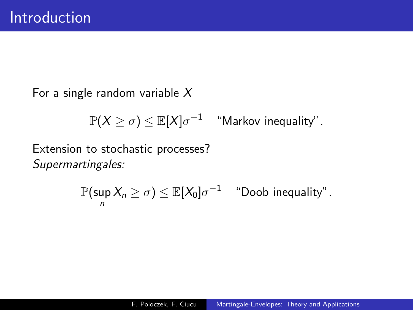For a single random variable  $X$ 

$$
\mathbb{P}(X \geq \sigma) \leq \mathbb{E}[X]\sigma^{-1} \quad \text{``Markov inequality''}.
$$

Extension to stochastic processes? Supermartingales:

$$
\mathbb{P}(\sup_n X_n \geq \sigma) \leq \mathbb{E}[X_0] \sigma^{-1} \quad \text{``Doob inequality''}.
$$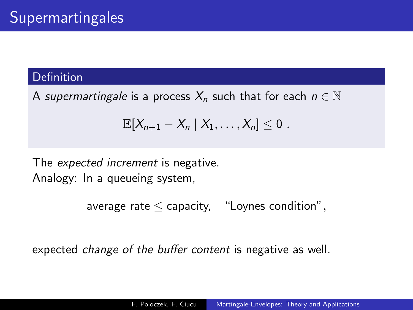#### **Definition**

A supermartingale is a process  $X_n$  such that for each  $n \in \mathbb{N}$ 

$$
\mathbb{E}[X_{n+1}-X_n | X_1,\ldots,X_n] \leq 0.
$$

The expected increment is negative. Analogy: In a queueing system,

```
average rate \leq capacity, "Loynes condition",
```
expected change of the buffer content is negative as well.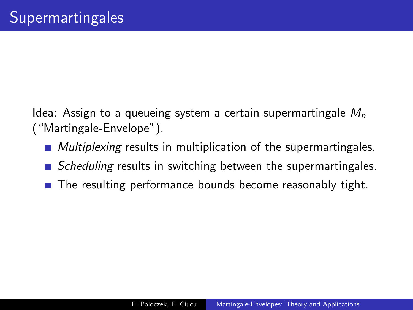Idea: Assign to a queueing system a certain supermartingale  $M_n$ ("Martingale-Envelope").

- **Multiplexing results in multiplication of the supermartingales.**
- $\blacksquare$  Scheduling results in switching between the supermartingales.
- The resulting performance bounds become reasonably tight.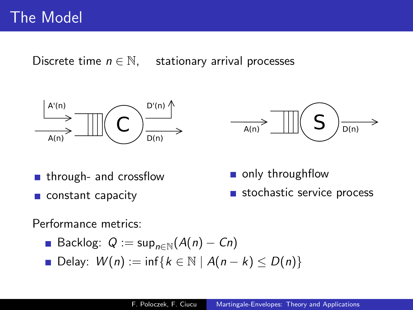Discrete time  $n \in \mathbb{N}$ , stationary arrival processes





- **n** through- and crossflow
- constant capacity
- only throughflow
- stochastic service process

Performance metrics:

- **Backlog:**  $Q := \sup_{n \in \mathbb{N}} (A(n) C_n)$
- Delay:  $W(n) := \inf\{k \in \mathbb{N} \mid A(n-k) \leq D(n)\}\$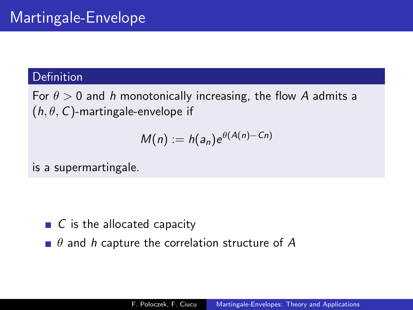#### Definition

For  $\theta > 0$  and h monotonically increasing, the flow A admits a  $(h, \theta, C)$ -martingale-envelope if

$$
M(n) := h(a_n) e^{\theta(A(n)-Cn)}
$$

is a supermartingale.

- $\blacksquare$  C is the allocated capacity
- $\blacksquare$   $\theta$  and  $h$  capture the correlation structure of A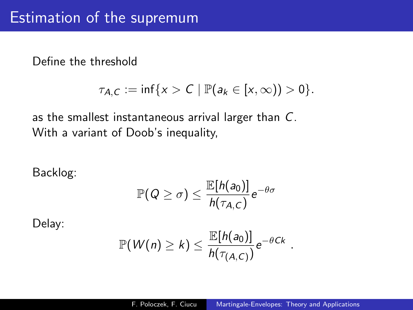Define the threshold

$$
\tau_{A,C}:=\inf\{x>C\mid \mathbb{P}(a_k\in[x,\infty))>0\}.
$$

as the smallest instantaneous arrival larger than C. With a variant of Doob's inequality,

Backlog:

$$
\mathbb{P}(Q \geq \sigma) \leq \frac{\mathbb{E}[h(a_0)]}{h(\tau_{A,C})}e^{-\theta \sigma}
$$

Delay:

$$
\mathbb{P}(W(n) \geq k) \leq \frac{\mathbb{E}[h(a_0)]}{h(\tau_{(A,C)})}e^{-\theta C k}
$$

.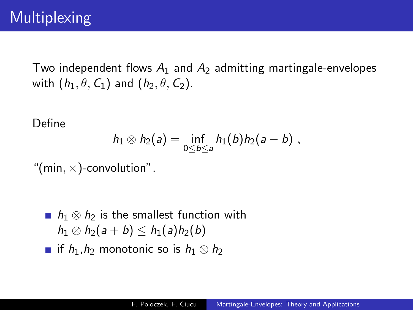Two independent flows  $A_1$  and  $A_2$  admitting martingale-envelopes with  $(h_1, \theta, C_1)$  and  $(h_2, \theta, C_2)$ .

Define

$$
h_1 \otimes h_2(a) = \inf_{0 \le b \le a} h_1(b) h_2(a - b) ,
$$

"(min,  $\times$ )-convolution".

- **n**  $h_1 \otimes h_2$  is the smallest function with  $h_1 \otimes h_2(a+b) \leq h_1(a)h_2(b)$
- **if**  $h_1, h_2$  monotonic so is  $h_1 \otimes h_2$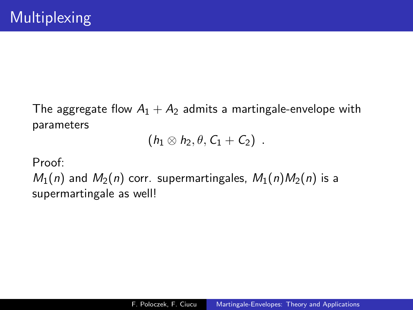The aggregate flow  $A_1 + A_2$  admits a martingale-envelope with parameters

$$
(h_1\otimes h_2,\theta,C_1+C_2) \ .
$$

Proof:

 $M_1(n)$  and  $M_2(n)$  corr. supermartingales,  $M_1(n)M_2(n)$  is a supermartingale as well!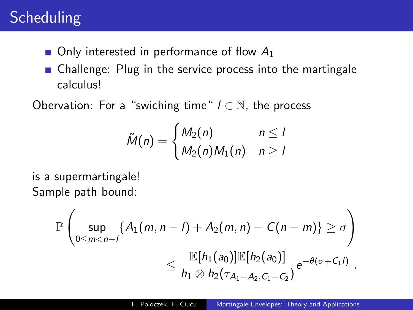# **Scheduling**

- $\blacksquare$  Only interested in performance of flow  $A_1$
- Challenge: Plug in the service process into the martingale calculus!

Obervation: For a "swiching time"  $l \in \mathbb{N}$ , the process

$$
\tilde{M}(n) = \begin{cases} M_2(n) & n \leq 1 \\ M_2(n)M_1(n) & n \geq 1 \end{cases}
$$

is a supermartingale! Sample path bound:

$$
\mathbb{P}\left(\sup_{0\leq m< n-1}\{A_1(m, n-1)+A_2(m, n)-C(n-m)\}\geq \sigma\right) \leq \frac{\mathbb{E}[h_1(a_0)]\mathbb{E}[h_2(a_0)]}{h_1\otimes h_2(\tau_{A_1+A_2,C_1+C_2})}e^{-\theta(\sigma+C_1I)}.
$$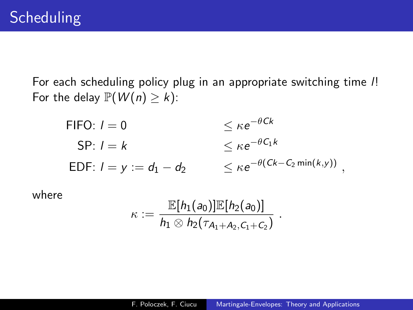For each scheduling policy plug in an appropriate switching time l! For the delay  $\mathbb{P}(W(n) \geq k)$ :

FIFO: 
$$
l = 0
$$
  
\nSP:  $l = k$   
\nEDF:  $l = y := d_1 - d_2$   
\n $\leq \kappa e^{-\theta C_1 k}$   
\n $\leq \kappa e^{-\theta (Ck - C_2 \min(k, y))}$ ,

where

$$
\kappa := \frac{\mathbb{E}[h_1(a_0)]\mathbb{E}[h_2(a_0)]}{h_1 \otimes h_2(\tau_{A_1+A_2,C_1+C_2})}.
$$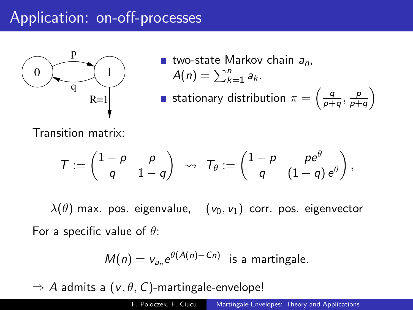# Application: on-off-processes



two-state Markov chain  $a_n$ ,  $A(n) = \sum_{k=1}^n a_k$ . stationary distribution  $\pi = \left(\frac{q}{p+1}\right)$  $\frac{q}{p+q}, \frac{p}{p+q}$  $\frac{p}{p+q}$ 

Transition matrix:

$$
\mathcal{T}:=\begin{pmatrix}1-\rho&\rho\\q&1-q\end{pmatrix}\;\rightsquigarrow\; \mathcal{T}_{\theta}:=\begin{pmatrix}1-\rho&\rho e^{\theta}\\q&(1-q)\,e^{\theta}\end{pmatrix},
$$

 $\lambda(\theta)$  max. pos. eigenvalue,  $(v_0, v_1)$  corr. pos. eigenvector For a specific value of  $\theta$ :

$$
M(n) = v_{a_n} e^{\theta(A(n) - C_n)}
$$
 is a martingale.

 $\Rightarrow$  A admits a ( $v, \theta, C$ )-martingale-envelope!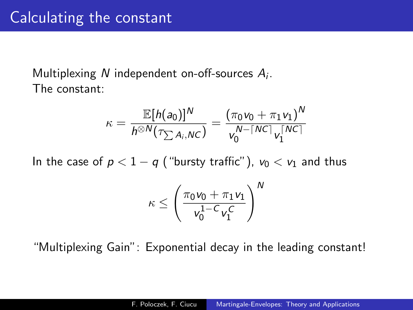### Multiplexing N independent on-off-sources  $A_i$ . The constant:

$$
\kappa = \frac{\mathbb{E}[h(a_0)]^N}{h^{\otimes N}(\tau_{\sum A_i, NC})} = \frac{(\pi_0 v_0 + \pi_1 v_1)^N}{v_0^{N - \lceil NC \rceil} v_1^{\lceil NC \rceil}}
$$

In the case of  $p < 1 - q$  ("bursty traffic"),  $v_0 < v_1$  and thus

$$
\kappa \leq \left(\frac{\pi_0 \nu_0 + \pi_1 \nu_1}{\nu_0^{1 - C} \nu_1^C}\right)^N
$$

"Multiplexing Gain": Exponential decay in the leading constant!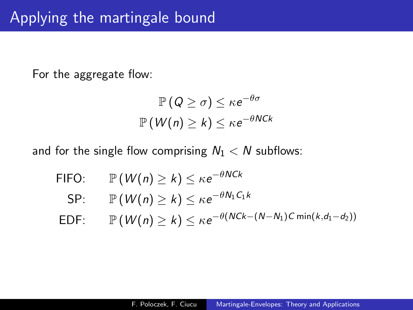For the aggregate flow:

$$
\mathbb{P}(Q \geq \sigma) \leq \kappa e^{-\theta \sigma}
$$

$$
\mathbb{P}(W(n) \geq k) \leq \kappa e^{-\theta NCk}
$$

and for the single flow comprising  $N_1 < N$  subflows:

FIFO:  $\mathbb{P}(W(n) \geq k) \leq \kappa e^{-\theta NCk}$ SP:  $\mathbb{P}(W(n) \geq k) \leq \kappa e^{-\theta N_1 C_1 k}$  $\textsf{EDF:}\qquad\mathbb{P}\left(\textit{W}( \textit{n})\geq \textit{k}\right) \leq \kappa e^{-\theta (\textit{NCK-(N-N}_1)C\min(\textit{k},d_1-d_2))}$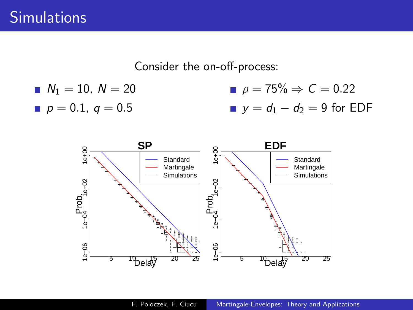Consider the on-off-process:

■ 
$$
N_1 = 10
$$
,  $N = 20$   
\n■  $p = 75\% \Rightarrow C = 0.22$   
\n■  $p = 0.1$ ,  $q = 0.5$   
\n■  $y = d_1 - d_2 = 9$  for EDF

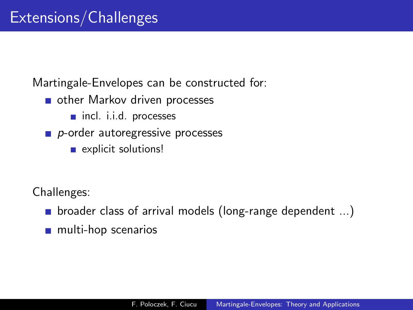Martingale-Envelopes can be constructed for:

- other Markov driven processes
	- nincl. i.i.d. processes
- $\blacksquare$  p-order autoregressive processes
	- **Explicit solutions!**

Challenges:

- **D** broader class of arrival models (long-range dependent ...)
- **n** multi-hop scenarios